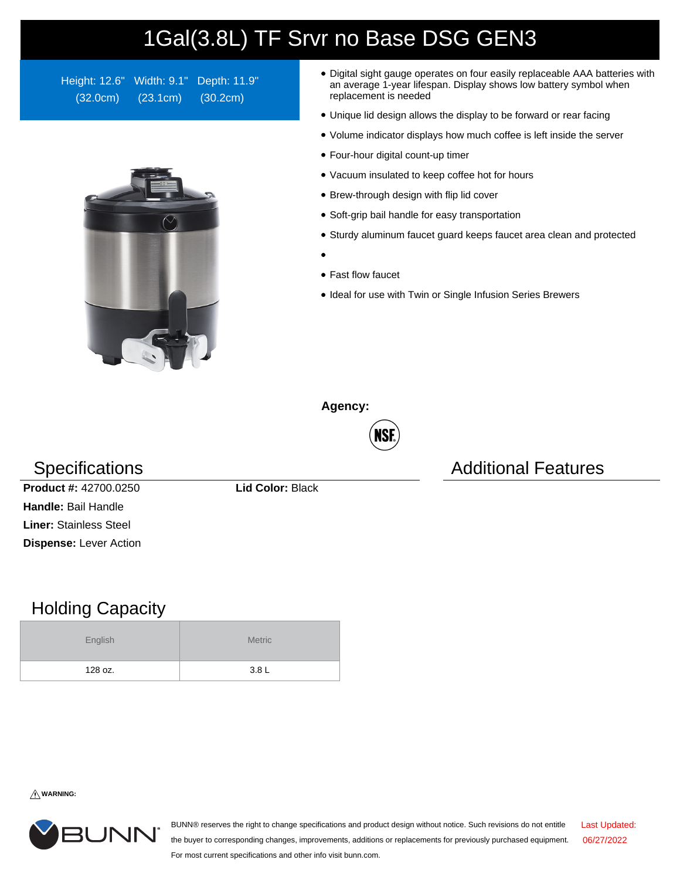## 1Gal(3.8L) TF Srvr no Base DSG GEN3

Height: 12.6" Width: 9.1" Depth: 11.9" (32.0cm) (23.1cm) (30.2cm)



- Digital sight gauge operates on four easily replaceable AAA batteries with an average 1-year lifespan. Display shows low battery symbol when replacement is needed
- Unique lid design allows the display to be forward or rear facing
- Volume indicator displays how much coffee is left inside the server
- Four-hour digital count-up timer
- Vacuum insulated to keep coffee hot for hours
- Brew-through design with flip lid cover
- Soft-grip bail handle for easy transportation
- Sturdy aluminum faucet guard keeps faucet area clean and protected
- 
- Fast flow faucet
- Ideal for use with Twin or Single Infusion Series Brewers

**Agency:**



Specifications **Additional Features** Additional Features

**Product #:** 42700.0250 **Lid Color:** Black **Handle:** Bail Handle **Liner:** Stainless Steel **Dispense:** Lever Action

## Holding Capacity

| English | <b>Metric</b> |  |  |  |
|---------|---------------|--|--|--|
| 128 oz. | 3.8L          |  |  |  |

**WARNING:**



BUNN® reserves the right to change specifications and product design without notice. Such revisions do not entitle the buyer to corresponding changes, improvements, additions or replacements for previously purchased equipment. For most current specifications and other info visit bunn.com. Last Updated: 06/27/2022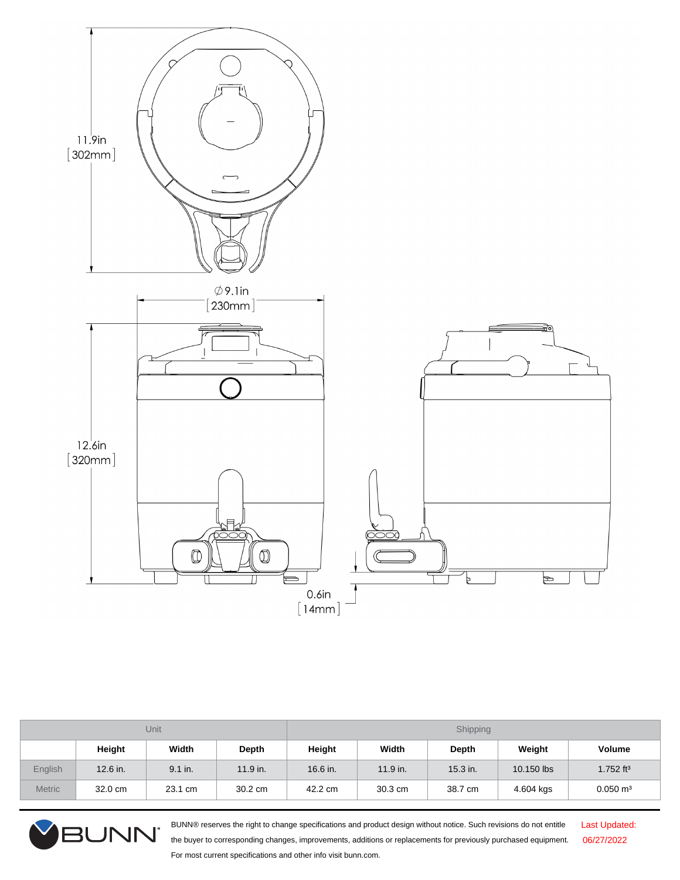

| Unit          |            |           |            | Shipping |            |            |            |                         |
|---------------|------------|-----------|------------|----------|------------|------------|------------|-------------------------|
|               | Height     | Width     | Depth      | Height   | Width      | Depth      | Weight     | <b>Volume</b>           |
| English       | $12.6$ in. | $9.1$ in. | $11.9$ in. | 16.6 in. | $11.9$ in. | $15.3$ in. | 10.150 lbs | $1.752$ ft <sup>3</sup> |
| <b>Metric</b> | 32.0 cm    | 23.1 cm   | 30.2 cm    | 42.2 cm  | 30.3 cm    | 38.7 cm    | 4.604 kgs  | $0.050 \text{ m}^3$     |



BUNN® reserves the right to change specifications and product design without notice. Such revisions do not entitle the buyer to corresponding changes, improvements, additions or replacements for previously purchased equipment. For most current specifications and other info visit bunn.com.

Last Updated: 06/27/2022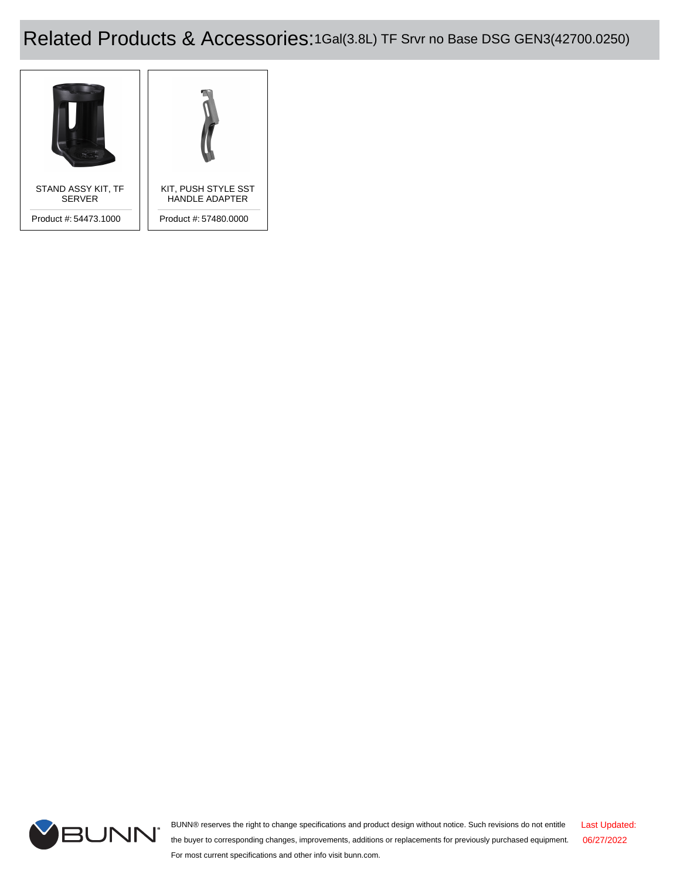## Related Products & Accessories:1Gal(3.8L) TF Srvr no Base DSG GEN3(42700.0250)





BUNN® reserves the right to change specifications and product design without notice. Such revisions do not entitle the buyer to corresponding changes, improvements, additions or replacements for previously purchased equipment. For most current specifications and other info visit bunn.com. Last Updated: 06/27/2022